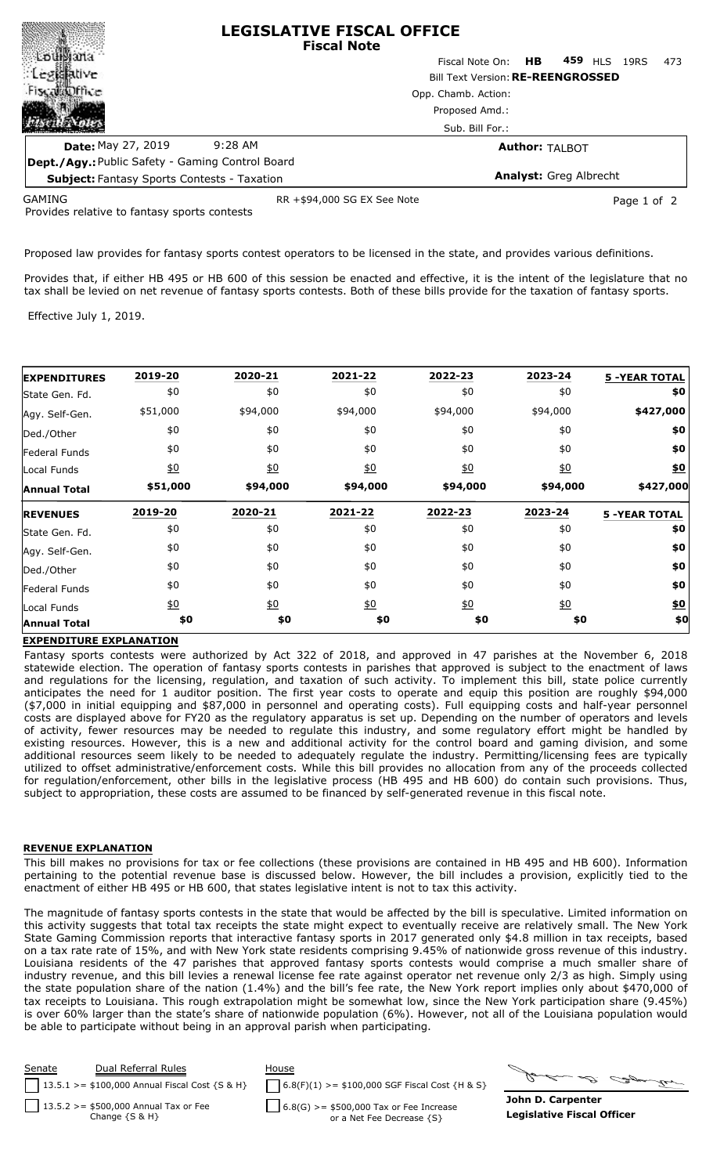| <b>LEGISLATIVE FISCAL OFFICE</b><br><b>Fiscal Note</b>  |                                           |  |  |  |  |  |
|---------------------------------------------------------|-------------------------------------------|--|--|--|--|--|
| $\sim$ Low                                              | Fiscal Note On: HB 459 HLS<br>473<br>19RS |  |  |  |  |  |
|                                                         | <b>Bill Text Version: RE-REENGROSSED</b>  |  |  |  |  |  |
| office<br>Opp. Chamb. Action:                           |                                           |  |  |  |  |  |
|                                                         | Proposed Amd.:<br>Sub. Bill For.:         |  |  |  |  |  |
|                                                         |                                           |  |  |  |  |  |
| <b>Date: May 27, 2019</b><br>$9:28$ AM                  | <b>Author: TALBOT</b>                     |  |  |  |  |  |
| <b>Dept./Agy.: Public Safety - Gaming Control Board</b> |                                           |  |  |  |  |  |
| <b>Subject: Fantasy Sports Contests - Taxation</b>      | <b>Analyst: Greg Albrecht</b>             |  |  |  |  |  |
|                                                         |                                           |  |  |  |  |  |

GAMING

RR +\$94,000 SG EX See Note Page 1 of 2

Provides relative to fantasy sports contests

Proposed law provides for fantasy sports contest operators to be licensed in the state, and provides various definitions.

Provides that, if either HB 495 or HB 600 of this session be enacted and effective, it is the intent of the legislature that no tax shall be levied on net revenue of fantasy sports contests. Both of these bills provide for the taxation of fantasy sports.

Effective July 1, 2019.

| <b>EXPENDITURES</b>  | 2019-20          | 2020-21          | 2021-22          | 2022-23          | 2023-24          | <b>5 -YEAR TOTAL</b> |
|----------------------|------------------|------------------|------------------|------------------|------------------|----------------------|
| State Gen. Fd.       | \$0              | \$0              | \$0              | \$0              | \$0              | \$0                  |
| Agy. Self-Gen.       | \$51,000         | \$94,000         | \$94,000         | \$94,000         | \$94,000         | \$427,000            |
| Ded./Other           | \$0              | \$0              | \$0              | \$0              | \$0              | \$0                  |
| <b>Federal Funds</b> | \$0              | \$0              | \$0              | \$0              | \$0              | \$0                  |
| Local Funds          | $\underline{50}$ | 60               | $\underline{40}$ | $\underline{40}$ | $\underline{50}$ | \$0                  |
| <b>Annual Total</b>  | \$51,000         | \$94,000         | \$94,000         | \$94,000         | \$94,000         | \$427,000            |
| <b>REVENUES</b>      | 2019-20          | 2020-21          | 2021-22          | 2022-23          | 2023-24          | <b>5 -YEAR TOTAL</b> |
| State Gen. Fd.       | \$0              | \$0              | \$0              | \$0              | \$0              | \$0                  |
| Agy. Self-Gen.       | \$0              | \$0              | \$0              | \$0              | \$0              | \$0                  |
| Ded./Other           | \$0              | \$0              | \$0              | \$0              | \$0              | \$0                  |
| Federal Funds        | \$0              | \$0              | \$0              | \$0              | \$0              | \$0                  |
| Local Funds          | $\underline{50}$ | $\underline{40}$ | $\underline{50}$ | $\underline{50}$ | $\underline{50}$ | \$0                  |
| <b>Annual Total</b>  | \$0              | \$0              | \$0              | \$0              | \$0              | \$0                  |

## **EXPENDITURE EXPLANATION**

Fantasy sports contests were authorized by Act 322 of 2018, and approved in 47 parishes at the November 6, 2018 statewide election. The operation of fantasy sports contests in parishes that approved is subject to the enactment of laws and regulations for the licensing, regulation, and taxation of such activity. To implement this bill, state police currently anticipates the need for 1 auditor position. The first year costs to operate and equip this position are roughly \$94,000 (\$7,000 in initial equipping and \$87,000 in personnel and operating costs). Full equipping costs and half-year personnel costs are displayed above for FY20 as the regulatory apparatus is set up. Depending on the number of operators and levels of activity, fewer resources may be needed to regulate this industry, and some regulatory effort might be handled by existing resources. However, this is a new and additional activity for the control board and gaming division, and some additional resources seem likely to be needed to adequately regulate the industry. Permitting/licensing fees are typically utilized to offset administrative/enforcement costs. While this bill provides no allocation from any of the proceeds collected for regulation/enforcement, other bills in the legislative process (HB 495 and HB 600) do contain such provisions. Thus, subject to appropriation, these costs are assumed to be financed by self-generated revenue in this fiscal note.

## **REVENUE EXPLANATION**

This bill makes no provisions for tax or fee collections (these provisions are contained in HB 495 and HB 600). Information pertaining to the potential revenue base is discussed below. However, the bill includes a provision, explicitly tied to the enactment of either HB 495 or HB 600, that states legislative intent is not to tax this activity.

The magnitude of fantasy sports contests in the state that would be affected by the bill is speculative. Limited information on this activity suggests that total tax receipts the state might expect to eventually receive are relatively small. The New York State Gaming Commission reports that interactive fantasy sports in 2017 generated only \$4.8 million in tax receipts, based on a tax rate rate of 15%, and with New York state residents comprising 9.45% of nationwide gross revenue of this industry. Louisiana residents of the 47 parishes that approved fantasy sports contests would comprise a much smaller share of industry revenue, and this bill levies a renewal license fee rate against operator net revenue only 2/3 as high. Simply using the state population share of the nation (1.4%) and the bill's fee rate, the New York report implies only about \$470,000 of tax receipts to Louisiana. This rough extrapolation might be somewhat low, since the New York participation share (9.45%) is over 60% larger than the state's share of nationwide population (6%). However, not all of the Louisiana population would be able to participate without being in an approval parish when participating.



**John D. Carpenter Legislative Fiscal Officer**